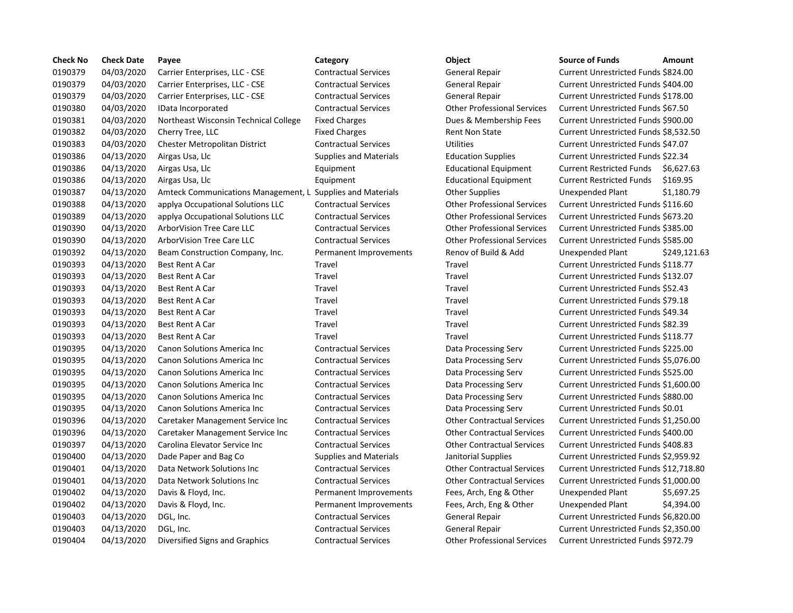| <b>Check No</b> | <b>Check Date</b> | Payee                                                      | Category                      | Object                             | <b>Source of Funds</b>                | Amount     |
|-----------------|-------------------|------------------------------------------------------------|-------------------------------|------------------------------------|---------------------------------------|------------|
| 0190379         | 04/03/2020        | Carrier Enterprises, LLC - CSE                             | <b>Contractual Services</b>   | General Repair                     | Current Unrestricted Funds \$824.00   |            |
| 0190379         | 04/03/2020        | Carrier Enterprises, LLC - CSE                             | <b>Contractual Services</b>   | General Repair                     | Current Unrestricted Funds \$404.00   |            |
| 0190379         | 04/03/2020        | Carrier Enterprises, LLC - CSE                             | <b>Contractual Services</b>   | <b>General Repair</b>              | Current Unrestricted Funds \$178.00   |            |
| 0190380         | 04/03/2020        | IData Incorporated                                         | <b>Contractual Services</b>   | <b>Other Professional Services</b> | Current Unrestricted Funds \$67.50    |            |
| 0190381         | 04/03/2020        | Northeast Wisconsin Technical College                      | <b>Fixed Charges</b>          | Dues & Membership Fees             | Current Unrestricted Funds \$900.00   |            |
| 0190382         | 04/03/2020        | Cherry Tree, LLC                                           | <b>Fixed Charges</b>          | <b>Rent Non State</b>              | Current Unrestricted Funds \$8,532.50 |            |
| 0190383         | 04/03/2020        | Chester Metropolitan District                              | <b>Contractual Services</b>   | <b>Utilities</b>                   | Current Unrestricted Funds \$47.07    |            |
| 0190386         | 04/13/2020        | Airgas Usa, Llc                                            | <b>Supplies and Materials</b> | <b>Education Supplies</b>          | Current Unrestricted Funds \$22.34    |            |
| 0190386         | 04/13/2020        | Airgas Usa, Llc                                            | Equipment                     | <b>Educational Equipment</b>       | <b>Current Restricted Funds</b>       | \$6,627.63 |
| 0190386         | 04/13/2020        | Airgas Usa, Llc                                            | Equipment                     | <b>Educational Equipment</b>       | <b>Current Restricted Funds</b>       | \$169.95   |
| 0190387         | 04/13/2020        | Amteck Communications Management, L Supplies and Materials |                               | <b>Other Supplies</b>              | <b>Unexpended Plant</b>               | \$1,180.79 |
| 0190388         | 04/13/2020        | applya Occupational Solutions LLC                          | <b>Contractual Services</b>   | <b>Other Professional Services</b> | Current Unrestricted Funds \$116.60   |            |
| 0190389         | 04/13/2020        | applya Occupational Solutions LLC                          | <b>Contractual Services</b>   | <b>Other Professional Services</b> | Current Unrestricted Funds \$673.20   |            |
| 0190390         | 04/13/2020        | ArborVision Tree Care LLC                                  | <b>Contractual Services</b>   | <b>Other Professional Services</b> | Current Unrestricted Funds \$385.00   |            |
| 0190390         | 04/13/2020        | ArborVision Tree Care LLC                                  | <b>Contractual Services</b>   | <b>Other Professional Services</b> | Current Unrestricted Funds \$585.00   |            |
| 0190392         | 04/13/2020        | Beam Construction Company, Inc.                            | Permanent Improvements        | Renov of Build & Add               | Unexpended Plant                      | \$249,121. |
| 0190393         | 04/13/2020        | Best Rent A Car                                            | Travel                        | Travel                             | Current Unrestricted Funds \$118.77   |            |
| 0190393         | 04/13/2020        | Best Rent A Car                                            | Travel                        | Travel                             | Current Unrestricted Funds \$132.07   |            |
| 0190393         | 04/13/2020        | <b>Best Rent A Car</b>                                     | Travel                        | Travel                             | Current Unrestricted Funds \$52.43    |            |
| 0190393         | 04/13/2020        | Best Rent A Car                                            | Travel                        | Travel                             | Current Unrestricted Funds \$79.18    |            |
| 0190393         | 04/13/2020        | <b>Best Rent A Car</b>                                     | Travel                        | Travel                             | Current Unrestricted Funds \$49.34    |            |
| 0190393         | 04/13/2020        | Best Rent A Car                                            | Travel                        | Travel                             | Current Unrestricted Funds \$82.39    |            |
| 0190393         | 04/13/2020        | Best Rent A Car                                            | Travel                        | Travel                             | Current Unrestricted Funds \$118.77   |            |
| 0190395         | 04/13/2020        | <b>Canon Solutions America Inc.</b>                        | <b>Contractual Services</b>   | Data Processing Serv               | Current Unrestricted Funds \$225.00   |            |
| 0190395         | 04/13/2020        | Canon Solutions America Inc                                | <b>Contractual Services</b>   | Data Processing Serv               | Current Unrestricted Funds \$5,076.00 |            |
| 0190395         | 04/13/2020        | <b>Canon Solutions America Inc</b>                         | <b>Contractual Services</b>   | Data Processing Serv               | Current Unrestricted Funds \$525.00   |            |
| 0190395         | 04/13/2020        | <b>Canon Solutions America Inc</b>                         | <b>Contractual Services</b>   | Data Processing Serv               | Current Unrestricted Funds \$1,600.00 |            |
| 0190395         | 04/13/2020        | Canon Solutions America Inc                                | <b>Contractual Services</b>   | Data Processing Serv               | Current Unrestricted Funds \$880.00   |            |
| 0190395         | 04/13/2020        | Canon Solutions America Inc                                | <b>Contractual Services</b>   | Data Processing Serv               | Current Unrestricted Funds \$0.01     |            |
| 0190396         | 04/13/2020        | Caretaker Management Service Inc                           | <b>Contractual Services</b>   | <b>Other Contractual Services</b>  | Current Unrestricted Funds \$1,250.00 |            |
| 0190396         | 04/13/2020        | Caretaker Management Service Inc                           | <b>Contractual Services</b>   | <b>Other Contractual Services</b>  | Current Unrestricted Funds \$400.00   |            |
| 0190397         | 04/13/2020        | Carolina Elevator Service Inc                              | <b>Contractual Services</b>   | <b>Other Contractual Services</b>  | Current Unrestricted Funds \$408.83   |            |
| 0190400         | 04/13/2020        | Dade Paper and Bag Co                                      | Supplies and Materials        | Janitorial Supplies                | Current Unrestricted Funds \$2,959.92 |            |
| 0190401         | 04/13/2020        | Data Network Solutions Inc                                 | <b>Contractual Services</b>   | <b>Other Contractual Services</b>  | Current Unrestricted Funds \$12,718.8 |            |
| 0190401         | 04/13/2020        | Data Network Solutions Inc                                 | <b>Contractual Services</b>   | <b>Other Contractual Services</b>  | Current Unrestricted Funds \$1,000.00 |            |
| 0190402         | 04/13/2020        | Davis & Floyd, Inc.                                        | Permanent Improvements        | Fees, Arch, Eng & Other            | Unexpended Plant                      | \$5,697.25 |
| 0190402         | 04/13/2020        | Davis & Floyd, Inc.                                        | Permanent Improvements        | Fees, Arch, Eng & Other            | <b>Unexpended Plant</b>               | \$4,394.00 |
| 0190403         | 04/13/2020        | DGL, Inc.                                                  | <b>Contractual Services</b>   | <b>General Repair</b>              | Current Unrestricted Funds \$6,820.00 |            |
| 0190403         | 04/13/2020        | DGL, Inc.                                                  | <b>Contractual Services</b>   | <b>General Repair</b>              | Current Unrestricted Funds \$2,350.00 |            |
| 0190404         | 04/13/2020        | Diversified Signs and Graphics                             | <b>Contractual Services</b>   | <b>Other Professional Services</b> | Current Unrestricted Funds \$972.79   |            |

# 0190404 04/13/2020 Diversified Signs and Graphics Contractual Services Other Professional Services Current Unrestricted Funds \$972.79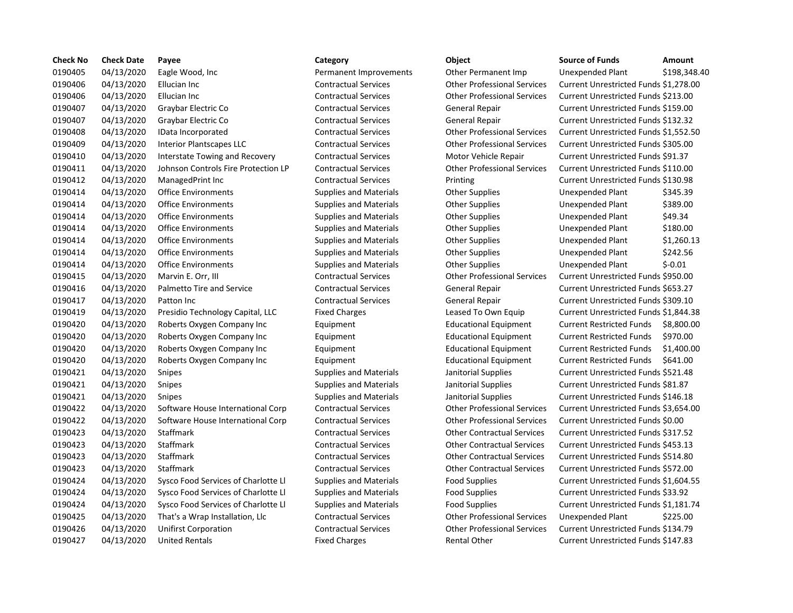| <b>Check No</b> | <b>Check Date</b> | Payee                               | Category                      | Object                             | <b>Source of Funds</b>               | Amount    |
|-----------------|-------------------|-------------------------------------|-------------------------------|------------------------------------|--------------------------------------|-----------|
| 0190405         | 04/13/2020        | Eagle Wood, Inc                     | Permanent Improvements        | Other Permanent Imp                | Unexpended Plant                     | \$198,34  |
| 0190406         | 04/13/2020        | Ellucian Inc                        | <b>Contractual Services</b>   | <b>Other Professional Services</b> | Current Unrestricted Funds \$1,278.  |           |
| 0190406         | 04/13/2020        | Ellucian Inc                        | <b>Contractual Services</b>   | <b>Other Professional Services</b> | Current Unrestricted Funds \$213.00  |           |
| 0190407         | 04/13/2020        | Graybar Electric Co                 | <b>Contractual Services</b>   | General Repair                     | Current Unrestricted Funds \$159.00  |           |
| 0190407         | 04/13/2020        | Graybar Electric Co                 | <b>Contractual Services</b>   | <b>General Repair</b>              | Current Unrestricted Funds \$132.32  |           |
| 0190408         | 04/13/2020        | IData Incorporated                  | <b>Contractual Services</b>   | <b>Other Professional Services</b> | Current Unrestricted Funds \$1,552.  |           |
| 0190409         | 04/13/2020        | <b>Interior Plantscapes LLC</b>     | <b>Contractual Services</b>   | <b>Other Professional Services</b> | Current Unrestricted Funds \$305.00  |           |
| 0190410         | 04/13/2020        | Interstate Towing and Recovery      | <b>Contractual Services</b>   | Motor Vehicle Repair               | Current Unrestricted Funds \$91.37   |           |
| 0190411         | 04/13/2020        | Johnson Controls Fire Protection LP | <b>Contractual Services</b>   | <b>Other Professional Services</b> | Current Unrestricted Funds \$110.00  |           |
| 0190412         | 04/13/2020        | ManagedPrint Inc                    | <b>Contractual Services</b>   | Printing                           | Current Unrestricted Funds \$130.98  |           |
| 0190414         | 04/13/2020        | <b>Office Environments</b>          | <b>Supplies and Materials</b> | <b>Other Supplies</b>              | Unexpended Plant                     | \$345.39  |
| 0190414         | 04/13/2020        | <b>Office Environments</b>          | <b>Supplies and Materials</b> | <b>Other Supplies</b>              | Unexpended Plant                     | \$389.00  |
| 0190414         | 04/13/2020        | <b>Office Environments</b>          | <b>Supplies and Materials</b> | Other Supplies                     | Unexpended Plant                     | \$49.34   |
| 0190414         | 04/13/2020        | <b>Office Environments</b>          | <b>Supplies and Materials</b> | <b>Other Supplies</b>              | Unexpended Plant                     | \$180.00  |
| 0190414         | 04/13/2020        | <b>Office Environments</b>          | <b>Supplies and Materials</b> | <b>Other Supplies</b>              | Unexpended Plant                     | \$1,260.1 |
| 0190414         | 04/13/2020        | <b>Office Environments</b>          | <b>Supplies and Materials</b> | <b>Other Supplies</b>              | Unexpended Plant                     | \$242.56  |
| 0190414         | 04/13/2020        | <b>Office Environments</b>          | <b>Supplies and Materials</b> | <b>Other Supplies</b>              | Unexpended Plant                     | \$-0.01   |
| 0190415         | 04/13/2020        | Marvin E. Orr, III                  | <b>Contractual Services</b>   | <b>Other Professional Services</b> | Current Unrestricted Funds \$950.00  |           |
| 0190416         | 04/13/2020        | Palmetto Tire and Service           | <b>Contractual Services</b>   | <b>General Repair</b>              | Current Unrestricted Funds \$653.27  |           |
| 0190417         | 04/13/2020        | Patton Inc                          | <b>Contractual Services</b>   | General Repair                     | Current Unrestricted Funds \$309.10  |           |
| 0190419         | 04/13/2020        | Presidio Technology Capital, LLC    | <b>Fixed Charges</b>          | Leased To Own Equip                | Current Unrestricted Funds \$1,844.3 |           |
| 0190420         | 04/13/2020        | Roberts Oxygen Company Inc          | Equipment                     | <b>Educational Equipment</b>       | <b>Current Restricted Funds</b>      | \$8,800.0 |
| 0190420         | 04/13/2020        | Roberts Oxygen Company Inc          | Equipment                     | <b>Educational Equipment</b>       | <b>Current Restricted Funds</b>      | \$970.00  |
| 0190420         | 04/13/2020        | Roberts Oxygen Company Inc          | Equipment                     | <b>Educational Equipment</b>       | <b>Current Restricted Funds</b>      | \$1,400   |
| 0190420         | 04/13/2020        | Roberts Oxygen Company Inc          | Equipment                     | <b>Educational Equipment</b>       | <b>Current Restricted Funds</b>      | \$641.00  |
| 0190421         | 04/13/2020        | <b>Snipes</b>                       | <b>Supplies and Materials</b> | Janitorial Supplies                | Current Unrestricted Funds \$521.48  |           |
| 0190421         | 04/13/2020        | Snipes                              | <b>Supplies and Materials</b> | Janitorial Supplies                | Current Unrestricted Funds \$81.87   |           |
| 0190421         | 04/13/2020        | <b>Snipes</b>                       | <b>Supplies and Materials</b> | Janitorial Supplies                | Current Unrestricted Funds \$146.18  |           |
| 0190422         | 04/13/2020        | Software House International Corp   | <b>Contractual Services</b>   | <b>Other Professional Services</b> | Current Unrestricted Funds \$3,654.  |           |
| 0190422         | 04/13/2020        | Software House International Corp   | <b>Contractual Services</b>   | <b>Other Professional Services</b> | Current Unrestricted Funds \$0.00    |           |
| 0190423         | 04/13/2020        | Staffmark                           | <b>Contractual Services</b>   | <b>Other Contractual Services</b>  | Current Unrestricted Funds \$317.52  |           |
| 0190423         | 04/13/2020        | Staffmark                           | <b>Contractual Services</b>   | <b>Other Contractual Services</b>  | Current Unrestricted Funds \$453.13  |           |
| 0190423         | 04/13/2020        | Staffmark                           | <b>Contractual Services</b>   | <b>Other Contractual Services</b>  | Current Unrestricted Funds \$514.80  |           |
| 0190423         | 04/13/2020        | Staffmark                           | <b>Contractual Services</b>   | <b>Other Contractual Services</b>  | Current Unrestricted Funds \$572.00  |           |
| 0190424         | 04/13/2020        | Sysco Food Services of Charlotte Ll | <b>Supplies and Materials</b> | <b>Food Supplies</b>               | Current Unrestricted Funds \$1,604.  |           |
| 0190424         | 04/13/2020        | Sysco Food Services of Charlotte Ll | <b>Supplies and Materials</b> | <b>Food Supplies</b>               | Current Unrestricted Funds \$33.92   |           |
| 0190424         | 04/13/2020        | Sysco Food Services of Charlotte Ll | <b>Supplies and Materials</b> | <b>Food Supplies</b>               | Current Unrestricted Funds \$1,181.7 |           |
| 0190425         | 04/13/2020        | That's a Wrap Installation, Llc     | <b>Contractual Services</b>   | <b>Other Professional Services</b> | <b>Unexpended Plant</b>              | \$225.00  |
| 0190426         | 04/13/2020        | <b>Unifirst Corporation</b>         | <b>Contractual Services</b>   | <b>Other Professional Services</b> | Current Unrestricted Funds \$134.79  |           |
| 0190427         | 04/13/2020        | <b>United Rentals</b>               | <b>Fixed Charges</b>          | <b>Rental Other</b>                | Current Unrestricted Funds \$147.83  |           |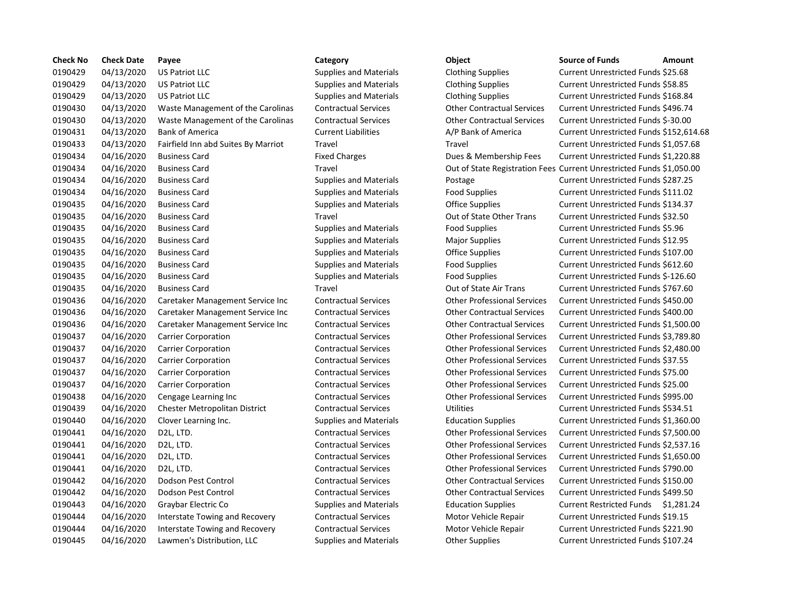| <b>Check No</b> | <b>Check Date</b> | Payee                                 | Category                      | Object                             | <b>Source of Funds</b>                                              | Amount |
|-----------------|-------------------|---------------------------------------|-------------------------------|------------------------------------|---------------------------------------------------------------------|--------|
| 0190429         | 04/13/2020        | <b>US Patriot LLC</b>                 | <b>Supplies and Materials</b> | <b>Clothing Supplies</b>           | Current Unrestricted Funds \$25.68                                  |        |
| 0190429         | 04/13/2020        | <b>US Patriot LLC</b>                 | <b>Supplies and Materials</b> | <b>Clothing Supplies</b>           | Current Unrestricted Funds \$58.85                                  |        |
| 0190429         | 04/13/2020        | <b>US Patriot LLC</b>                 | <b>Supplies and Materials</b> | <b>Clothing Supplies</b>           | Current Unrestricted Funds \$168.84                                 |        |
| 0190430         | 04/13/2020        | Waste Management of the Carolinas     | <b>Contractual Services</b>   | <b>Other Contractual Services</b>  | Current Unrestricted Funds \$496.74                                 |        |
| 0190430         | 04/13/2020        | Waste Management of the Carolinas     | <b>Contractual Services</b>   | <b>Other Contractual Services</b>  | Current Unrestricted Funds \$-30.00                                 |        |
| 0190431         | 04/13/2020        | <b>Bank of America</b>                | <b>Current Liabilities</b>    | A/P Bank of America                | Current Unrestricted Funds \$152,61                                 |        |
| 0190433         | 04/13/2020        | Fairfield Inn abd Suites By Marriot   | Travel                        | Travel                             | Current Unrestricted Funds \$1,057.6                                |        |
| 0190434         | 04/16/2020        | <b>Business Card</b>                  | <b>Fixed Charges</b>          | Dues & Membership Fees             | Current Unrestricted Funds \$1,220.8                                |        |
| 0190434         | 04/16/2020        | <b>Business Card</b>                  | Travel                        |                                    | Out of State Registration Fees Current Unrestricted Funds \$1,050.0 |        |
| 0190434         | 04/16/2020        | <b>Business Card</b>                  | <b>Supplies and Materials</b> | Postage                            | Current Unrestricted Funds \$287.25                                 |        |
| 0190434         | 04/16/2020        | <b>Business Card</b>                  | <b>Supplies and Materials</b> | <b>Food Supplies</b>               | Current Unrestricted Funds \$111.02                                 |        |
| 0190435         | 04/16/2020        | <b>Business Card</b>                  | <b>Supplies and Materials</b> | Office Supplies                    | Current Unrestricted Funds \$134.37                                 |        |
| 0190435         | 04/16/2020        | <b>Business Card</b>                  | Travel                        | Out of State Other Trans           | Current Unrestricted Funds \$32.50                                  |        |
| 0190435         | 04/16/2020        | <b>Business Card</b>                  | <b>Supplies and Materials</b> | <b>Food Supplies</b>               | Current Unrestricted Funds \$5.96                                   |        |
| 0190435         | 04/16/2020        | <b>Business Card</b>                  | <b>Supplies and Materials</b> | <b>Major Supplies</b>              | Current Unrestricted Funds \$12.95                                  |        |
| 0190435         | 04/16/2020        | <b>Business Card</b>                  | <b>Supplies and Materials</b> | Office Supplies                    | Current Unrestricted Funds \$107.00                                 |        |
| 0190435         | 04/16/2020        | <b>Business Card</b>                  | <b>Supplies and Materials</b> | <b>Food Supplies</b>               | Current Unrestricted Funds \$612.60                                 |        |
| 0190435         | 04/16/2020        | <b>Business Card</b>                  | <b>Supplies and Materials</b> | <b>Food Supplies</b>               | Current Unrestricted Funds \$-126.60                                |        |
| 0190435         | 04/16/2020        | <b>Business Card</b>                  | Travel                        | Out of State Air Trans             | Current Unrestricted Funds \$767.60                                 |        |
| 0190436         | 04/16/2020        | Caretaker Management Service Inc      | <b>Contractual Services</b>   | <b>Other Professional Services</b> | Current Unrestricted Funds \$450.00                                 |        |
| 0190436         | 04/16/2020        | Caretaker Management Service Inc      | <b>Contractual Services</b>   | <b>Other Contractual Services</b>  | Current Unrestricted Funds \$400.00                                 |        |
| 0190436         | 04/16/2020        | Caretaker Management Service Inc      | <b>Contractual Services</b>   | <b>Other Contractual Services</b>  | Current Unrestricted Funds \$1,500.                                 |        |
| 0190437         | 04/16/2020        | <b>Carrier Corporation</b>            | <b>Contractual Services</b>   | <b>Other Professional Services</b> | Current Unrestricted Funds \$3,789.8                                |        |
| 0190437         | 04/16/2020        | <b>Carrier Corporation</b>            | <b>Contractual Services</b>   | <b>Other Professional Services</b> | Current Unrestricted Funds \$2,480.0                                |        |
| 0190437         | 04/16/2020        | <b>Carrier Corporation</b>            | <b>Contractual Services</b>   | <b>Other Professional Services</b> | Current Unrestricted Funds \$37.55                                  |        |
| 0190437         | 04/16/2020        | <b>Carrier Corporation</b>            | <b>Contractual Services</b>   | <b>Other Professional Services</b> | Current Unrestricted Funds \$75.00                                  |        |
| 0190437         | 04/16/2020        | <b>Carrier Corporation</b>            | <b>Contractual Services</b>   | <b>Other Professional Services</b> | Current Unrestricted Funds \$25.00                                  |        |
| 0190438         | 04/16/2020        | Cengage Learning Inc                  | <b>Contractual Services</b>   | <b>Other Professional Services</b> | Current Unrestricted Funds \$995.00                                 |        |
| 0190439         | 04/16/2020        | Chester Metropolitan District         | <b>Contractual Services</b>   | Utilities                          | Current Unrestricted Funds \$534.51                                 |        |
| 0190440         | 04/16/2020        | Clover Learning Inc.                  | <b>Supplies and Materials</b> | <b>Education Supplies</b>          | Current Unrestricted Funds \$1,360.0                                |        |
| 0190441         | 04/16/2020        | D <sub>2</sub> L, LTD.                | <b>Contractual Services</b>   | <b>Other Professional Services</b> | Current Unrestricted Funds \$7,500.                                 |        |
| 0190441         | 04/16/2020        | D <sub>2</sub> L, LTD.                | <b>Contractual Services</b>   | <b>Other Professional Services</b> | Current Unrestricted Funds \$2,537.1                                |        |
| 0190441         | 04/16/2020        | D2L, LTD.                             | <b>Contractual Services</b>   | <b>Other Professional Services</b> | Current Unrestricted Funds \$1,650.0                                |        |
| 0190441         | 04/16/2020        | D <sub>2</sub> L, LTD.                | <b>Contractual Services</b>   | <b>Other Professional Services</b> | Current Unrestricted Funds \$790.00                                 |        |
| 0190442         | 04/16/2020        | Dodson Pest Control                   | <b>Contractual Services</b>   | <b>Other Contractual Services</b>  | Current Unrestricted Funds \$150.00                                 |        |
| 0190442         | 04/16/2020        | Dodson Pest Control                   | <b>Contractual Services</b>   | <b>Other Contractual Services</b>  | Current Unrestricted Funds \$499.50                                 |        |
| 0190443         | 04/16/2020        | Graybar Electric Co                   | <b>Supplies and Materials</b> | <b>Education Supplies</b>          | Current Restricted Funds \$1,281.2                                  |        |
| 0190444         | 04/16/2020        | Interstate Towing and Recovery        | <b>Contractual Services</b>   | Motor Vehicle Repair               | Current Unrestricted Funds \$19.15                                  |        |
| 0190444         | 04/16/2020        | <b>Interstate Towing and Recovery</b> | <b>Contractual Services</b>   | Motor Vehicle Repair               | Current Unrestricted Funds \$221.90                                 |        |
| 0190445         | 04/16/2020        | Lawmen's Distribution, LLC            | <b>Supplies and Materials</b> | <b>Other Supplies</b>              | Current Unrestricted Funds \$107.24                                 |        |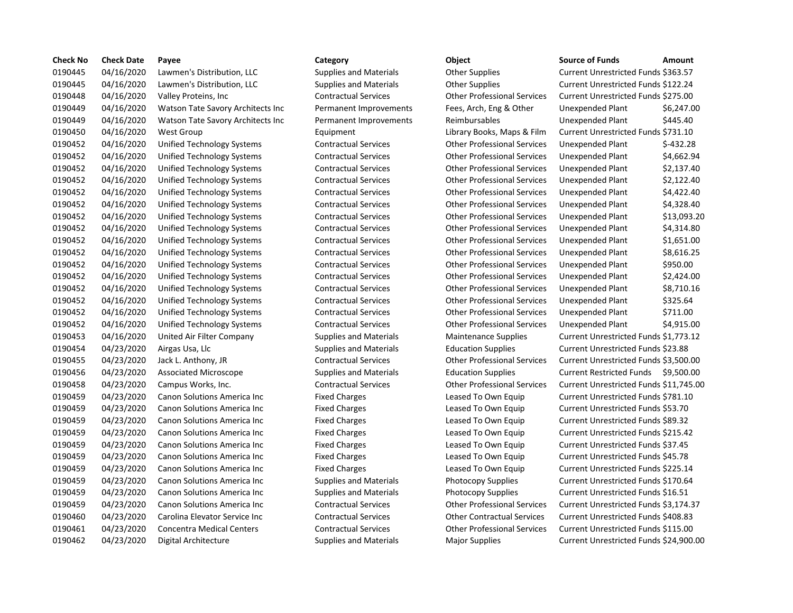| <b>Check No</b> | <b>Check Date</b> | Payee                               | Category                      | Object                             | <b>Source of Funds</b><br>Amount             |
|-----------------|-------------------|-------------------------------------|-------------------------------|------------------------------------|----------------------------------------------|
| 0190445         | 04/16/2020        | Lawmen's Distribution, LLC          | <b>Supplies and Materials</b> | <b>Other Supplies</b>              | Current Unrestricted Funds \$363.57          |
| 0190445         | 04/16/2020        | Lawmen's Distribution, LLC          | <b>Supplies and Materials</b> | <b>Other Supplies</b>              | Current Unrestricted Funds \$122.24          |
| 0190448         | 04/16/2020        | Valley Proteins, Inc.               | <b>Contractual Services</b>   | <b>Other Professional Services</b> | Current Unrestricted Funds \$275.00          |
| 0190449         | 04/16/2020        | Watson Tate Savory Architects Inc   | Permanent Improvements        | Fees, Arch, Eng & Other            | Unexpended Plant<br>\$6,247.0                |
| 0190449         | 04/16/2020        | Watson Tate Savory Architects Inc   | Permanent Improvements        | Reimbursables                      | \$445.40<br><b>Unexpended Plant</b>          |
| 0190450         | 04/16/2020        | West Group                          | Equipment                     | Library Books, Maps & Film         | Current Unrestricted Funds \$731.10          |
| 0190452         | 04/16/2020        | Unified Technology Systems          | <b>Contractual Services</b>   | <b>Other Professional Services</b> | \$-432.28<br>Unexpended Plant                |
| 0190452         | 04/16/2020        | Unified Technology Systems          | <b>Contractual Services</b>   | <b>Other Professional Services</b> | \$4,662.9<br>Unexpended Plant                |
| 0190452         | 04/16/2020        | Unified Technology Systems          | <b>Contractual Services</b>   | <b>Other Professional Services</b> | \$2,137.4<br>Unexpended Plant                |
| 0190452         | 04/16/2020        | Unified Technology Systems          | <b>Contractual Services</b>   | <b>Other Professional Services</b> | \$2,122.4<br>Unexpended Plant                |
| 0190452         | 04/16/2020        | Unified Technology Systems          | <b>Contractual Services</b>   | <b>Other Professional Services</b> | \$4,422.4<br>Unexpended Plant                |
| 0190452         | 04/16/2020        | Unified Technology Systems          | <b>Contractual Services</b>   | <b>Other Professional Services</b> | \$4,328.4<br>Unexpended Plant                |
| 0190452         | 04/16/2020        | Unified Technology Systems          | <b>Contractual Services</b>   | <b>Other Professional Services</b> | \$13,093<br>Unexpended Plant                 |
| 0190452         | 04/16/2020        | Unified Technology Systems          | <b>Contractual Services</b>   | <b>Other Professional Services</b> | \$4,314.8<br>Unexpended Plant                |
| 0190452         | 04/16/2020        | Unified Technology Systems          | <b>Contractual Services</b>   | <b>Other Professional Services</b> | \$1,651.0<br>Unexpended Plant                |
| 0190452         | 04/16/2020        | Unified Technology Systems          | <b>Contractual Services</b>   | <b>Other Professional Services</b> | \$8,616.2<br>Unexpended Plant                |
| 0190452         | 04/16/2020        | Unified Technology Systems          | <b>Contractual Services</b>   | <b>Other Professional Services</b> | \$950.00<br>Unexpended Plant                 |
| 0190452         | 04/16/2020        | Unified Technology Systems          | <b>Contractual Services</b>   | <b>Other Professional Services</b> | \$2,424.0<br>Unexpended Plant                |
| 0190452         | 04/16/2020        | Unified Technology Systems          | <b>Contractual Services</b>   | <b>Other Professional Services</b> | \$8,710.1<br>Unexpended Plant                |
| 0190452         | 04/16/2020        | Unified Technology Systems          | <b>Contractual Services</b>   | <b>Other Professional Services</b> | \$325.64<br>Unexpended Plant                 |
| 0190452         | 04/16/2020        | Unified Technology Systems          | <b>Contractual Services</b>   | <b>Other Professional Services</b> | \$711.00<br>Unexpended Plant                 |
| 0190452         | 04/16/2020        | Unified Technology Systems          | <b>Contractual Services</b>   | <b>Other Professional Services</b> | Unexpended Plant<br>\$4,915.0                |
| 0190453         | 04/16/2020        | United Air Filter Company           | <b>Supplies and Materials</b> | <b>Maintenance Supplies</b>        | Current Unrestricted Funds \$1,773.1         |
| 0190454         | 04/23/2020        | Airgas Usa, Llc                     | <b>Supplies and Materials</b> | <b>Education Supplies</b>          | Current Unrestricted Funds \$23.88           |
| 0190455         | 04/23/2020        | Jack L. Anthony, JR                 | <b>Contractual Services</b>   | <b>Other Professional Services</b> | Current Unrestricted Funds \$3,500.          |
| 0190456         | 04/23/2020        | Associated Microscope               | <b>Supplies and Materials</b> | <b>Education Supplies</b>          | <b>Current Restricted Funds</b><br>\$9,500.0 |
| 0190458         | 04/23/2020        | Campus Works, Inc.                  | <b>Contractual Services</b>   | <b>Other Professional Services</b> | Current Unrestricted Funds \$11,745          |
| 0190459         | 04/23/2020        | Canon Solutions America Inc         | <b>Fixed Charges</b>          | Leased To Own Equip                | Current Unrestricted Funds \$781.10          |
| 0190459         | 04/23/2020        | Canon Solutions America Inc         | <b>Fixed Charges</b>          | Leased To Own Equip                | Current Unrestricted Funds \$53.70           |
| 0190459         | 04/23/2020        | Canon Solutions America Inc         | <b>Fixed Charges</b>          | Leased To Own Equip                | Current Unrestricted Funds \$89.32           |
| 0190459         | 04/23/2020        | Canon Solutions America Inc         | <b>Fixed Charges</b>          | Leased To Own Equip                | Current Unrestricted Funds \$215.42          |
| 0190459         | 04/23/2020        | Canon Solutions America Inc         | <b>Fixed Charges</b>          | Leased To Own Equip                | Current Unrestricted Funds \$37.45           |
| 0190459         | 04/23/2020        | Canon Solutions America Inc         | <b>Fixed Charges</b>          | Leased To Own Equip                | Current Unrestricted Funds \$45.78           |
| 0190459         | 04/23/2020        | Canon Solutions America Inc         | <b>Fixed Charges</b>          | Leased To Own Equip                | Current Unrestricted Funds \$225.14          |
| 0190459         | 04/23/2020        | <b>Canon Solutions America Inc.</b> | <b>Supplies and Materials</b> | <b>Photocopy Supplies</b>          | Current Unrestricted Funds \$170.64          |
| 0190459         | 04/23/2020        | Canon Solutions America Inc         | <b>Supplies and Materials</b> | Photocopy Supplies                 | Current Unrestricted Funds \$16.51           |
| 0190459         | 04/23/2020        | Canon Solutions America Inc         | <b>Contractual Services</b>   | <b>Other Professional Services</b> | Current Unrestricted Funds \$3,174.3         |
| 0190460         | 04/23/2020        | Carolina Elevator Service Inc       | <b>Contractual Services</b>   | <b>Other Contractual Services</b>  | Current Unrestricted Funds \$408.83          |
| 0190461         | 04/23/2020        | <b>Concentra Medical Centers</b>    | <b>Contractual Services</b>   | <b>Other Professional Services</b> | Current Unrestricted Funds \$115.00          |
| 0190462         | 04/23/2020        | Digital Architecture                | <b>Supplies and Materials</b> | <b>Major Supplies</b>              | Current Unrestricted Funds \$24,900          |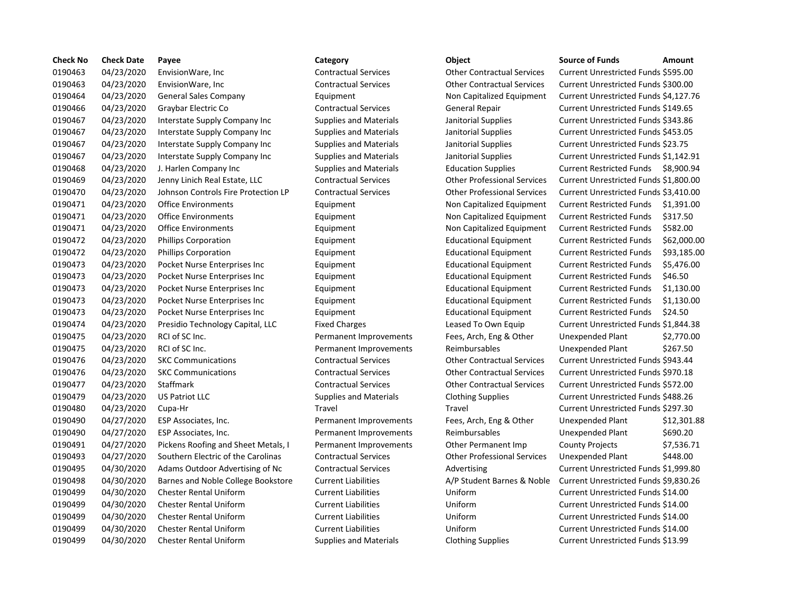| <b>Check No</b> | <b>Check Date</b> | Payee                               | Category                      | Object                             | <b>Source of Funds</b><br>Amount             |
|-----------------|-------------------|-------------------------------------|-------------------------------|------------------------------------|----------------------------------------------|
| 0190463         | 04/23/2020        | EnvisionWare, Inc                   | <b>Contractual Services</b>   | <b>Other Contractual Services</b>  | Current Unrestricted Funds \$595.00          |
| 0190463         | 04/23/2020        | EnvisionWare, Inc                   | <b>Contractual Services</b>   | <b>Other Contractual Services</b>  | Current Unrestricted Funds \$300.00          |
| 0190464         | 04/23/2020        | <b>General Sales Company</b>        | Equipment                     | Non Capitalized Equipment          | Current Unrestricted Funds \$4,127.7         |
| 0190466         | 04/23/2020        | Graybar Electric Co                 | <b>Contractual Services</b>   | <b>General Repair</b>              | Current Unrestricted Funds \$149.65          |
| 0190467         | 04/23/2020        | Interstate Supply Company Inc       | <b>Supplies and Materials</b> | Janitorial Supplies                | Current Unrestricted Funds \$343.86          |
| 0190467         | 04/23/2020        | Interstate Supply Company Inc.      | <b>Supplies and Materials</b> | Janitorial Supplies                | Current Unrestricted Funds \$453.05          |
| 0190467         | 04/23/2020        | Interstate Supply Company Inc       | <b>Supplies and Materials</b> | Janitorial Supplies                | Current Unrestricted Funds \$23.75           |
| 0190467         | 04/23/2020        | Interstate Supply Company Inc       | <b>Supplies and Materials</b> | Janitorial Supplies                | Current Unrestricted Funds \$1,142.9         |
| 0190468         | 04/23/2020        | J. Harlen Company Inc               | <b>Supplies and Materials</b> | <b>Education Supplies</b>          | <b>Current Restricted Funds</b><br>\$8,900.9 |
| 0190469         | 04/23/2020        | Jenny Linich Real Estate, LLC       | <b>Contractual Services</b>   | <b>Other Professional Services</b> | Current Unrestricted Funds \$1,800.0         |
| 0190470         | 04/23/2020        | Johnson Controls Fire Protection LP | <b>Contractual Services</b>   | <b>Other Professional Services</b> | Current Unrestricted Funds \$3,410.          |
| 0190471         | 04/23/2020        | <b>Office Environments</b>          | Equipment                     | Non Capitalized Equipment          | <b>Current Restricted Funds</b><br>\$1,391.0 |
| 0190471         | 04/23/2020        | <b>Office Environments</b>          | Equipment                     | Non Capitalized Equipment          | <b>Current Restricted Funds</b><br>\$317.50  |
| 0190471         | 04/23/2020        | <b>Office Environments</b>          | Equipment                     | Non Capitalized Equipment          | \$582.00<br><b>Current Restricted Funds</b>  |
| 0190472         | 04/23/2020        | <b>Phillips Corporation</b>         | Equipment                     | <b>Educational Equipment</b>       | <b>Current Restricted Funds</b><br>\$62,000  |
| 0190472         | 04/23/2020        | <b>Phillips Corporation</b>         | Equipment                     | <b>Educational Equipment</b>       | \$93,185<br><b>Current Restricted Funds</b>  |
| 0190473         | 04/23/2020        | Pocket Nurse Enterprises Inc        | Equipment                     | <b>Educational Equipment</b>       | <b>Current Restricted Funds</b><br>\$5,476.0 |
| 0190473         | 04/23/2020        | Pocket Nurse Enterprises Inc        | Equipment                     | <b>Educational Equipment</b>       | <b>Current Restricted Funds</b><br>\$46.50   |
| 0190473         | 04/23/2020        | Pocket Nurse Enterprises Inc        | Equipment                     | <b>Educational Equipment</b>       | \$1,130.0<br><b>Current Restricted Funds</b> |
| 0190473         | 04/23/2020        | Pocket Nurse Enterprises Inc        | Equipment                     | <b>Educational Equipment</b>       | <b>Current Restricted Funds</b><br>\$1,130.0 |
| 0190473         | 04/23/2020        | Pocket Nurse Enterprises Inc        | Equipment                     | <b>Educational Equipment</b>       | <b>Current Restricted Funds</b><br>\$24.50   |
| 0190474         | 04/23/2020        | Presidio Technology Capital, LLC    | <b>Fixed Charges</b>          | Leased To Own Equip                | Current Unrestricted Funds \$1,844.3         |
| 0190475         | 04/23/2020        | RCI of SC Inc.                      | Permanent Improvements        | Fees, Arch, Eng & Other            | Unexpended Plant<br>\$2,770.0                |
| 0190475         | 04/23/2020        | RCI of SC Inc.                      | Permanent Improvements        | Reimbursables                      | \$267.50<br>Unexpended Plant                 |
| 0190476         | 04/23/2020        | <b>SKC Communications</b>           | <b>Contractual Services</b>   | <b>Other Contractual Services</b>  | Current Unrestricted Funds \$943.44          |
| 0190476         | 04/23/2020        | <b>SKC Communications</b>           | <b>Contractual Services</b>   | <b>Other Contractual Services</b>  | Current Unrestricted Funds \$970.18          |
| 0190477         | 04/23/2020        | <b>Staffmark</b>                    | <b>Contractual Services</b>   | <b>Other Contractual Services</b>  | Current Unrestricted Funds \$572.00          |
| 0190479         | 04/23/2020        | <b>US Patriot LLC</b>               | <b>Supplies and Materials</b> | <b>Clothing Supplies</b>           | Current Unrestricted Funds \$488.26          |
| 0190480         | 04/23/2020        | Cupa-Hr                             | Travel                        | Travel                             | Current Unrestricted Funds \$297.30          |
| 0190490         | 04/27/2020        | ESP Associates, Inc.                | Permanent Improvements        | Fees, Arch, Eng & Other            | Unexpended Plant<br>\$12,301                 |
| 0190490         | 04/27/2020        | ESP Associates, Inc.                | Permanent Improvements        | Reimbursables                      | \$690.20<br>Unexpended Plant                 |
| 0190491         | 04/27/2020        | Pickens Roofing and Sheet Metals, I | Permanent Improvements        | Other Permanent Imp                | <b>County Projects</b><br>\$7,536.7          |
| 0190493         | 04/27/2020        | Southern Electric of the Carolinas  | <b>Contractual Services</b>   | <b>Other Professional Services</b> | Unexpended Plant<br>\$448.00                 |
| 0190495         | 04/30/2020        | Adams Outdoor Advertising of Nc     | <b>Contractual Services</b>   | Advertising                        | Current Unrestricted Funds \$1,999.8         |
| 0190498         | 04/30/2020        | Barnes and Noble College Bookstore  | <b>Current Liabilities</b>    | A/P Student Barnes & Noble         | Current Unrestricted Funds \$9,830.2         |
| 0190499         | 04/30/2020        | <b>Chester Rental Uniform</b>       | <b>Current Liabilities</b>    | Uniform                            | Current Unrestricted Funds \$14.00           |
| 0190499         | 04/30/2020        | <b>Chester Rental Uniform</b>       | <b>Current Liabilities</b>    | Uniform                            | Current Unrestricted Funds \$14.00           |
| 0190499         | 04/30/2020        | <b>Chester Rental Uniform</b>       | <b>Current Liabilities</b>    | Uniform                            | Current Unrestricted Funds \$14.00           |
| 0190499         | 04/30/2020        | <b>Chester Rental Uniform</b>       | <b>Current Liabilities</b>    | Uniform                            | Current Unrestricted Funds \$14.00           |
| 0190499         | 04/30/2020        | <b>Chester Rental Uniform</b>       | <b>Supplies and Materials</b> | <b>Clothing Supplies</b>           | Current Unrestricted Funds \$13.99           |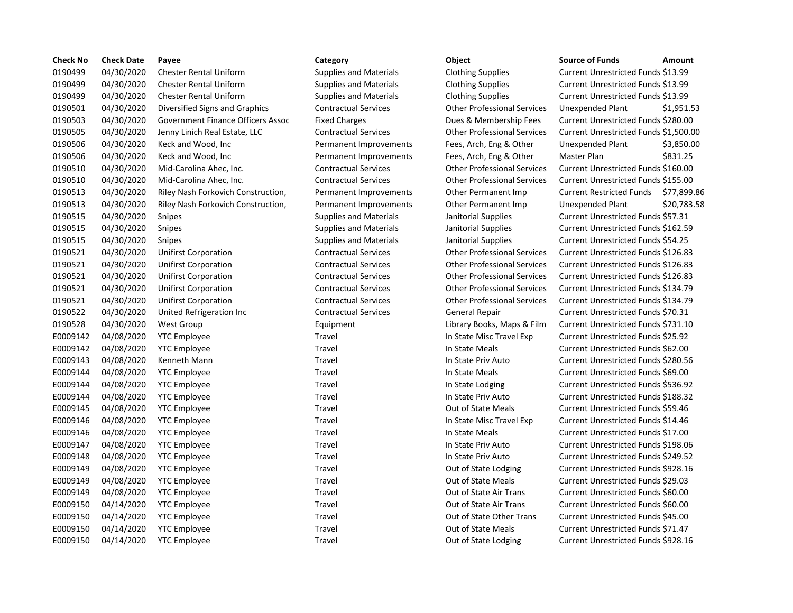| <b>Check No</b> | <b>Check Date</b> | Payee                              | Category                      | Object                             | <b>Source of Funds</b><br>Amount            |
|-----------------|-------------------|------------------------------------|-------------------------------|------------------------------------|---------------------------------------------|
| 0190499         | 04/30/2020        | <b>Chester Rental Uniform</b>      | <b>Supplies and Materials</b> | <b>Clothing Supplies</b>           | Current Unrestricted Funds \$13.99          |
| 0190499         | 04/30/2020        | <b>Chester Rental Uniform</b>      | <b>Supplies and Materials</b> | <b>Clothing Supplies</b>           | Current Unrestricted Funds \$13.99          |
| 0190499         | 04/30/2020        | <b>Chester Rental Uniform</b>      | <b>Supplies and Materials</b> | <b>Clothing Supplies</b>           | Current Unrestricted Funds \$13.99          |
| 0190501         | 04/30/2020        | Diversified Signs and Graphics     | <b>Contractual Services</b>   | <b>Other Professional Services</b> | Unexpended Plant<br>\$1,951.9               |
| 0190503         | 04/30/2020        | Government Finance Officers Assoc  | <b>Fixed Charges</b>          | Dues & Membership Fees             | Current Unrestricted Funds \$280.00         |
| 0190505         | 04/30/2020        | Jenny Linich Real Estate, LLC      | <b>Contractual Services</b>   | <b>Other Professional Services</b> | Current Unrestricted Funds \$1,500.         |
| 0190506         | 04/30/2020        | Keck and Wood, Inc                 | Permanent Improvements        | Fees, Arch, Eng & Other            | <b>Unexpended Plant</b><br>\$3,850.0        |
| 0190506         | 04/30/2020        | Keck and Wood, Inc                 | Permanent Improvements        | Fees, Arch, Eng & Other            | Master Plan<br>\$831.25                     |
| 0190510         | 04/30/2020        | Mid-Carolina Ahec, Inc.            | <b>Contractual Services</b>   | <b>Other Professional Services</b> | Current Unrestricted Funds \$160.00         |
| 0190510         | 04/30/2020        | Mid-Carolina Ahec, Inc.            | <b>Contractual Services</b>   | <b>Other Professional Services</b> | Current Unrestricted Funds \$155.00         |
| 0190513         | 04/30/2020        | Riley Nash Forkovich Construction, | Permanent Improvements        | Other Permanent Imp                | <b>Current Restricted Funds</b><br>\$77,899 |
| 0190513         | 04/30/2020        | Riley Nash Forkovich Construction, | Permanent Improvements        | Other Permanent Imp                | <b>Unexpended Plant</b><br>\$20,783         |
| 0190515         | 04/30/2020        | Snipes                             | <b>Supplies and Materials</b> | Janitorial Supplies                | Current Unrestricted Funds \$57.31          |
| 0190515         | 04/30/2020        | Snipes                             | <b>Supplies and Materials</b> | Janitorial Supplies                | Current Unrestricted Funds \$162.59         |
| 0190515         | 04/30/2020        | Snipes                             | <b>Supplies and Materials</b> | Janitorial Supplies                | Current Unrestricted Funds \$54.25          |
| 0190521         | 04/30/2020        | <b>Unifirst Corporation</b>        | <b>Contractual Services</b>   | <b>Other Professional Services</b> | Current Unrestricted Funds \$126.83         |
| 0190521         | 04/30/2020        | <b>Unifirst Corporation</b>        | <b>Contractual Services</b>   | <b>Other Professional Services</b> | Current Unrestricted Funds \$126.83         |
| 0190521         | 04/30/2020        | <b>Unifirst Corporation</b>        | <b>Contractual Services</b>   | <b>Other Professional Services</b> | Current Unrestricted Funds \$126.83         |
| 0190521         | 04/30/2020        | <b>Unifirst Corporation</b>        | <b>Contractual Services</b>   | <b>Other Professional Services</b> | Current Unrestricted Funds \$134.79         |
| 0190521         | 04/30/2020        | <b>Unifirst Corporation</b>        | <b>Contractual Services</b>   | <b>Other Professional Services</b> | Current Unrestricted Funds \$134.79         |
| 0190522         | 04/30/2020        | United Refrigeration Inc           | <b>Contractual Services</b>   | <b>General Repair</b>              | Current Unrestricted Funds \$70.31          |
| 0190528         | 04/30/2020        | <b>West Group</b>                  | Equipment                     | Library Books, Maps & Film         | Current Unrestricted Funds \$731.10         |
| E0009142        | 04/08/2020        | <b>YTC Employee</b>                | Travel                        | In State Misc Travel Exp           | Current Unrestricted Funds \$25.92          |
| E0009142        | 04/08/2020        | <b>YTC Employee</b>                | Travel                        | In State Meals                     | Current Unrestricted Funds \$62.00          |
| E0009143        | 04/08/2020        | Kenneth Mann                       | Travel                        | In State Priv Auto                 | Current Unrestricted Funds \$280.56         |
| E0009144        | 04/08/2020        | <b>YTC Employee</b>                | Travel                        | In State Meals                     | Current Unrestricted Funds \$69.00          |
| E0009144        | 04/08/2020        | <b>YTC Employee</b>                | Travel                        | In State Lodging                   | Current Unrestricted Funds \$536.92         |
| E0009144        | 04/08/2020        | <b>YTC Employee</b>                | Travel                        | In State Priv Auto                 | Current Unrestricted Funds \$188.32         |
| E0009145        | 04/08/2020        | <b>YTC Employee</b>                | Travel                        | <b>Out of State Meals</b>          | Current Unrestricted Funds \$59.46          |
| E0009146        | 04/08/2020        | <b>YTC Employee</b>                | Travel                        | In State Misc Travel Exp           | Current Unrestricted Funds \$14.46          |
| E0009146        | 04/08/2020        | <b>YTC Employee</b>                | Travel                        | In State Meals                     | Current Unrestricted Funds \$17.00          |
| E0009147        | 04/08/2020        | <b>YTC Employee</b>                | Travel                        | In State Priv Auto                 | Current Unrestricted Funds \$198.06         |
| E0009148        | 04/08/2020        | <b>YTC Employee</b>                | Travel                        | In State Priv Auto                 | Current Unrestricted Funds \$249.52         |
| E0009149        | 04/08/2020        | <b>YTC Employee</b>                | Travel                        | Out of State Lodging               | Current Unrestricted Funds \$928.16         |
| E0009149        | 04/08/2020        | <b>YTC Employee</b>                | Travel                        | <b>Out of State Meals</b>          | Current Unrestricted Funds \$29.03          |
| E0009149        | 04/08/2020        | <b>YTC Employee</b>                | Travel                        | Out of State Air Trans             | Current Unrestricted Funds \$60.00          |
| E0009150        | 04/14/2020        | <b>YTC Employee</b>                | Travel                        | Out of State Air Trans             | Current Unrestricted Funds \$60.00          |
| E0009150        | 04/14/2020        | <b>YTC Employee</b>                | Travel                        | Out of State Other Trans           | Current Unrestricted Funds \$45.00          |
| E0009150        | 04/14/2020        | <b>YTC Employee</b>                | Travel                        | Out of State Meals                 | Current Unrestricted Funds \$71.47          |
| E0009150        | 04/14/2020        | <b>YTC Employee</b>                | Travel                        | Out of State Lodging               | Current Unrestricted Funds \$928.16         |

# 0190499 04/30/2020 Chester Rental Uniform Supplies and Materials Clothing Supplies Current Unrestricted Funds \$13.99 0190499 04/30/2020 Chester Rental Uniform Supplies and Materials Clothing Supplies Current Unrestricted Funds \$13.99 0190499 04/30/2020 Chester Rental Uniform Supplies and Materials Clothing Supplies Current Unrestricted Funds \$13.99 Contractual Services **Diversities Contractual Services** Unexpended Plant \$1,951.53 0190503 04/30/2020 Government Finance Officers Assoc Fixed Charges Dues & Membership Fees Current Unrestricted Funds \$280.00 0190505 04/30/2020 Jenny Linich Real Estate, LLC Contractual Services Other Professional Services Current Unrestricted Funds \$1,500.00 Permanent Improvements Fees, Arch, Eng & Other Unexpended Plant \$3,850.00 Permanent Improvements Fees, Arch, Eng & Other Master Plan \$831.25 0190510 04/30/2020 Mid-Carolina Ahec, Inc. Contractual Services Other Professional Services Current Unrestricted Funds \$160.00 0190510 04/30/2020 Mid-Carolina Ahec, Inc. Contractual Services Other Professional Services Current Unrestricted Funds \$155.00 on, Permanent Improvements Other Permanent Imp Current Restricted Funds \$77,899.86 on, Permanent Improvements Other Permanent Imp Unexpended Plant \$20,783.58 0190515 04/30/2020 Snipes Supplies and Materials Janitorial Supplies Current Unrestricted Funds \$57.31 0190515 04/30/2020 Snipes Supplies and Materials Janitorial Supplies Current Unrestricted Funds \$162.59 0190515 04/30/2020 Snipes Supplies and Materials Janitorial Supplies Current Unrestricted Funds \$54.25 0190521 04/30/2020 Unifirst Corporation Contractual Services Other Professional Services Current Unrestricted Funds \$126.83 0190521 04/30/2020 Unifirst Corporation Contractual Services Other Professional Services Current Unrestricted Funds \$126.83 0190521 04/30/2020 Unifirst Corporation Contractual Services Other Professional Services Current Unrestricted Funds \$126.83 0190521 04/30/2020 Unifirst Corporation Contractual Services Other Professional Services Current Unrestricted Funds \$134.79 0190521 04/30/2020 Unifirst Corporation Contractual Services Other Professional Services Current Unrestricted Funds \$134.79 0190522 04/30/2020 United Refrigeration Inc Contractual Services General Repair Current Unrestricted Funds \$70.31 Equipment **Example 2018** Library Books, Maps & Film Current Unrestricted Funds \$731.10 E0009142 04/08/2020 YTC Employee Travel In State Misc Travel Exp Current Unrestricted Funds \$25.92 Travel **EXA/OB220142 In State Meals** Current Unrestricted Funds \$62.00 E0009143 04/08/2020 Kenneth Mann Travel In State Priv Auto Current Unrestricted Funds \$280.56 E0009144 04/08/2020 YTC Employee Travel In State Meals Current Unrestricted Funds \$69.00 E0009144 04/08/2020 YTC Employee Travel In State Lodging Current Unrestricted Funds \$536.92 E0009144 04/08/2020 YTC Employee Travel In State Priv Auto Current Unrestricted Funds \$188.32 E0009145 04/08/2020 YTC Employee Travel Out of State Meals Current Unrestricted Funds \$59.46 Travel **EX49 CONO9146 CONO6146 In State Misc Travel Exp** Current Unrestricted Funds \$14.46 E0009146 04/08/2020 YTC Employee Travel In State Meals Current Unrestricted Funds \$17.00 E0009147 04/08/2020 YTC Employee Travel In State Priv Auto Current Unrestricted Funds \$198.06 E0009148 04/08/2020 YTC Employee Travel In State Priv Auto Current Unrestricted Funds \$249.52 Travel **EXA/OUT CONSIDENT CURRENT CURRENT CURRENT CURRENT CURRENT CONSIDENT CONSIDENT** Current Unrestricted Funds \$928.16 E0009149 04/08/2020 YTC Employee Travel Out of State Meals Current Unrestricted Funds \$29.03 E0009149 04/08/2020 YTC Employee Travel Out of State Air Trans Current Unrestricted Funds \$60.00 Travel **EXA/2020 Travel State Air Trans** Current Unrestricted Funds \$60.00 E0009150 04/14/2020 YTC Employee Travel Out of State Other Trans Current Unrestricted Funds \$45.00 E0009150 04/14/2020 YTC Employee Travel Out of State Meals Current Unrestricted Funds \$71.47